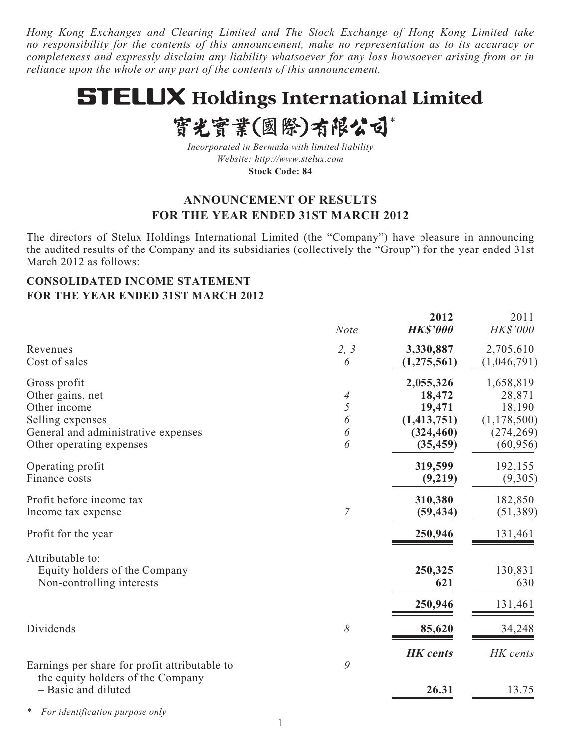*Hong Kong Exchanges and Clearing Limited and The Stock Exchange of Hong Kong Limited take no responsibility for the contents of this announcement, make no representation as to its accuracy or completeness and expressly disclaim any liability whatsoever for any loss howsoever arising from or in reliance upon the whole or any part of the contents of this announcement.*

# **STELUX Holdings International Limited**

# 實光實業(國際)有限公司\*

*Incorporated in Bermuda with limited liability Website: http://www.stelux.com* **Stock Code: 84**

# **ANNOUNCEMENT OF RESULTS FOR THE YEAR ENDED 31ST MARCH 2012**

The directors of Stelux Holdings International Limited (the "Company") have pleasure in announcing the audited results of the Company and its subsidiaries (collectively the "Group") for the year ended 31st March 2012 as follows:

## **CONSOLIDATED INCOME STATEMENT FOR THE YEAR ENDED 31ST MARCH 2012**

|                                                                                                                                         | <b>Note</b>           | 2012<br><b>HK\$'000</b>                                                   | 2011<br>HK\$'000                                                          |
|-----------------------------------------------------------------------------------------------------------------------------------------|-----------------------|---------------------------------------------------------------------------|---------------------------------------------------------------------------|
| Revenues<br>Cost of sales                                                                                                               | 2, 3<br>6             | 3,330,887<br>(1, 275, 561)                                                | 2,705,610<br>(1,046,791)                                                  |
| Gross profit<br>Other gains, net<br>Other income<br>Selling expenses<br>General and administrative expenses<br>Other operating expenses | 4<br>5<br>6<br>6<br>6 | 2,055,326<br>18,472<br>19,471<br>(1, 413, 751)<br>(324, 460)<br>(35, 459) | 1,658,819<br>28,871<br>18,190<br>(1, 178, 500)<br>(274, 269)<br>(60, 956) |
| Operating profit<br>Finance costs                                                                                                       |                       | 319,599<br>(9,219)                                                        | 192,155<br>(9,305)                                                        |
| Profit before income tax<br>Income tax expense                                                                                          | 7                     | 310,380<br>(59, 434)                                                      | 182,850<br>(51, 389)                                                      |
| Profit for the year                                                                                                                     |                       | 250,946                                                                   | 131,461                                                                   |
| Attributable to:<br>Equity holders of the Company<br>Non-controlling interests                                                          |                       | 250,325<br>621<br>250,946                                                 | 130,831<br>630<br>131,461                                                 |
| Dividends                                                                                                                               | 8                     | 85,620                                                                    | 34,248                                                                    |
| Earnings per share for profit attributable to                                                                                           | 9                     | <b>HK</b> cents                                                           | HK cents                                                                  |
| the equity holders of the Company<br>- Basic and diluted                                                                                |                       | 26.31                                                                     | 13.75                                                                     |

*\* For identification purpose only*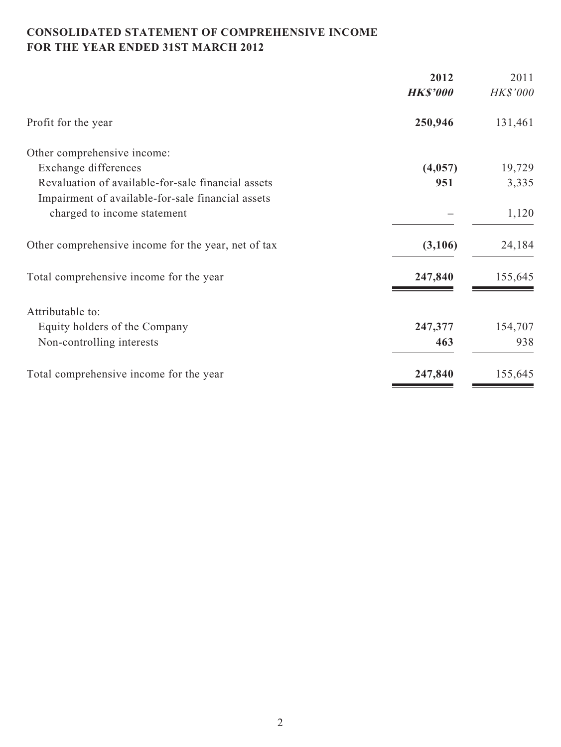# **CONSOLIDATED STATEMENT OF COMPREHENSIVE INCOME FOR THE YEAR ENDED 31ST MARCH 2012**

| 2012            | 2011     |
|-----------------|----------|
| <b>HK\$'000</b> | HK\$'000 |
| 250,946         | 131,461  |
|                 |          |
| (4,057)         | 19,729   |
| 951             | 3,335    |
|                 |          |
|                 | 1,120    |
| (3,106)         | 24,184   |
| 247,840         | 155,645  |
|                 |          |
| 247,377         | 154,707  |
| 463             | 938      |
| 247,840         | 155,645  |
|                 |          |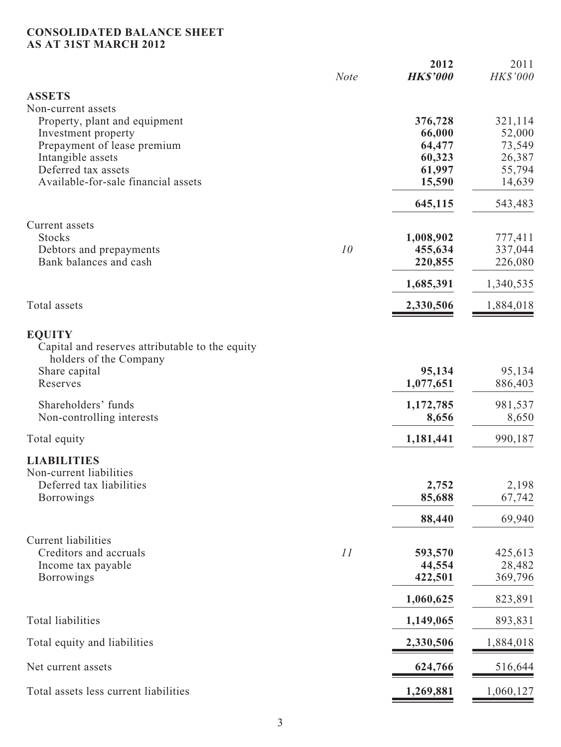## **CONSOLIDATED BALANCE SHEET AS AT 31ST MARCH 2012**

|                                                                                                                                                                        | <b>Note</b> | 2012<br><b>HK\$'000</b>                                   | 2011<br>HK\$'000                                          |
|------------------------------------------------------------------------------------------------------------------------------------------------------------------------|-------------|-----------------------------------------------------------|-----------------------------------------------------------|
| <b>ASSETS</b><br>Non-current assets                                                                                                                                    |             |                                                           |                                                           |
| Property, plant and equipment<br>Investment property<br>Prepayment of lease premium<br>Intangible assets<br>Deferred tax assets<br>Available-for-sale financial assets |             | 376,728<br>66,000<br>64,477<br>60,323<br>61,997<br>15,590 | 321,114<br>52,000<br>73,549<br>26,387<br>55,794<br>14,639 |
|                                                                                                                                                                        |             | 645,115                                                   | 543,483                                                   |
| Current assets<br><b>Stocks</b><br>Debtors and prepayments<br>Bank balances and cash                                                                                   | 10          | 1,008,902<br>455,634<br>220,855                           | 777,411<br>337,044<br>226,080                             |
|                                                                                                                                                                        |             | 1,685,391                                                 | 1,340,535                                                 |
| Total assets                                                                                                                                                           |             | 2,330,506                                                 | 1,884,018                                                 |
| <b>EQUITY</b><br>Capital and reserves attributable to the equity<br>holders of the Company<br>Share capital<br>Reserves                                                |             | 95,134<br>1,077,651                                       | 95,134<br>886,403                                         |
| Shareholders' funds<br>Non-controlling interests                                                                                                                       |             | 1,172,785<br>8,656                                        | 981,537<br>8,650                                          |
| Total equity                                                                                                                                                           |             | 1,181,441                                                 | 990,187                                                   |
| <b>LIABILITIES</b><br>Non-current liabilities<br>Deferred tax liabilities<br><b>Borrowings</b>                                                                         |             | 2,752<br>85,688<br>88,440                                 | 2,198<br>67,742<br>69,940                                 |
| <b>Current liabilities</b><br>Creditors and accruals<br>Income tax payable<br><b>Borrowings</b>                                                                        | 11          | 593,570<br>44,554<br>422,501<br>1,060,625                 | 425,613<br>28,482<br>369,796<br>823,891                   |
| <b>Total liabilities</b>                                                                                                                                               |             | 1,149,065                                                 | 893,831                                                   |
| Total equity and liabilities                                                                                                                                           |             | 2,330,506                                                 | 1,884,018                                                 |
| Net current assets                                                                                                                                                     |             | 624,766                                                   | 516,644                                                   |
| Total assets less current liabilities                                                                                                                                  |             | 1,269,881                                                 | 1,060,127                                                 |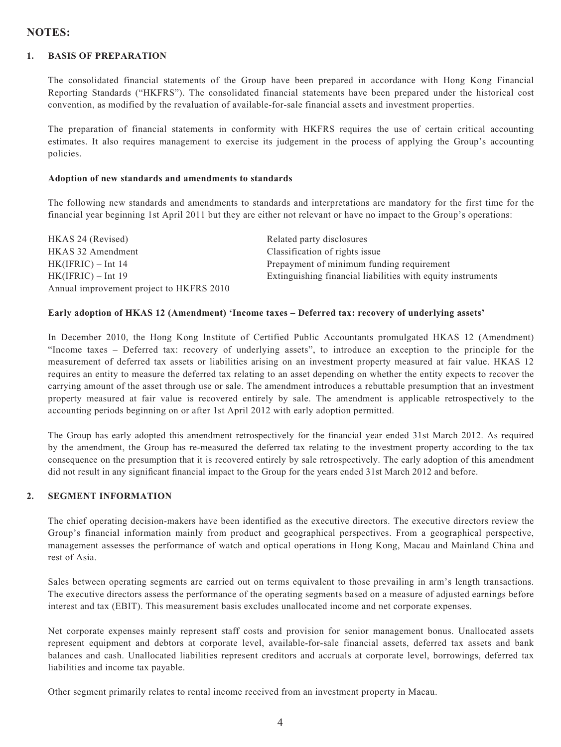## **NOTES:**

#### **1. BASIS OF PREPARATION**

The consolidated financial statements of the Group have been prepared in accordance with Hong Kong Financial Reporting Standards ("HKFRS"). The consolidated financial statements have been prepared under the historical cost convention, as modified by the revaluation of available-for-sale financial assets and investment properties.

The preparation of financial statements in conformity with HKFRS requires the use of certain critical accounting estimates. It also requires management to exercise its judgement in the process of applying the Group's accounting policies.

#### **Adoption of new standards and amendments to standards**

The following new standards and amendments to standards and interpretations are mandatory for the first time for the financial year beginning 1st April 2011 but they are either not relevant or have no impact to the Group's operations:

| HKAS 24 (Revised)                        | Related party disclosures                                   |
|------------------------------------------|-------------------------------------------------------------|
| HKAS 32 Amendment                        | Classification of rights issue                              |
| $HK(IFRIC) - Int 14$                     | Prepayment of minimum funding requirement                   |
| $HK(IFRIC) - Int 19$                     | Extinguishing financial liabilities with equity instruments |
| Annual improvement project to HKFRS 2010 |                                                             |

#### **Early adoption of HKAS 12 (Amendment) 'Income taxes – Deferred tax: recovery of underlying assets'**

In December 2010, the Hong Kong Institute of Certified Public Accountants promulgated HKAS 12 (Amendment) "Income taxes – Deferred tax: recovery of underlying assets", to introduce an exception to the principle for the measurement of deferred tax assets or liabilities arising on an investment property measured at fair value. HKAS 12 requires an entity to measure the deferred tax relating to an asset depending on whether the entity expects to recover the carrying amount of the asset through use or sale. The amendment introduces a rebuttable presumption that an investment property measured at fair value is recovered entirely by sale. The amendment is applicable retrospectively to the accounting periods beginning on or after 1st April 2012 with early adoption permitted.

The Group has early adopted this amendment retrospectively for the financial year ended 31st March 2012. As required by the amendment, the Group has re-measured the deferred tax relating to the investment property according to the tax consequence on the presumption that it is recovered entirely by sale retrospectively. The early adoption of this amendment did not result in any significant financial impact to the Group for the years ended 31st March 2012 and before.

#### **2. SEGMENT INFORMATION**

The chief operating decision-makers have been identified as the executive directors. The executive directors review the Group's financial information mainly from product and geographical perspectives. From a geographical perspective, management assesses the performance of watch and optical operations in Hong Kong, Macau and Mainland China and rest of Asia.

Sales between operating segments are carried out on terms equivalent to those prevailing in arm's length transactions. The executive directors assess the performance of the operating segments based on a measure of adjusted earnings before interest and tax (EBIT). This measurement basis excludes unallocated income and net corporate expenses.

Net corporate expenses mainly represent staff costs and provision for senior management bonus. Unallocated assets represent equipment and debtors at corporate level, available-for-sale financial assets, deferred tax assets and bank balances and cash. Unallocated liabilities represent creditors and accruals at corporate level, borrowings, deferred tax liabilities and income tax payable.

Other segment primarily relates to rental income received from an investment property in Macau.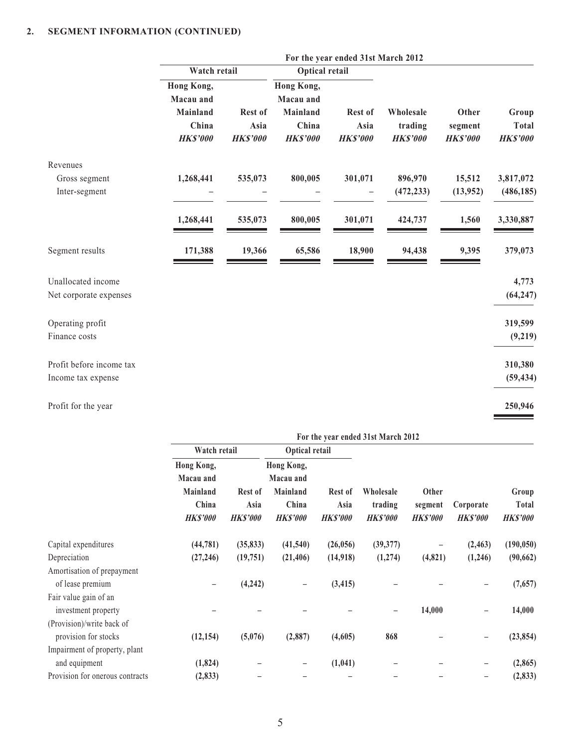|                          | For the year ended 31st March 2012 |                 |                         |                 |                 |                 |                 |
|--------------------------|------------------------------------|-----------------|-------------------------|-----------------|-----------------|-----------------|-----------------|
|                          | Watch retail                       |                 | <b>Optical retail</b>   |                 |                 |                 |                 |
|                          | Hong Kong,<br>Macau and            |                 | Hong Kong,<br>Macau and |                 |                 |                 |                 |
|                          | Mainland                           | Rest of         | Mainland                | Rest of         | Wholesale       | Other           | Group           |
|                          | China                              | Asia            | China                   | Asia            | trading         | segment         | <b>Total</b>    |
|                          | <b>HK\$'000</b>                    | <b>HK\$'000</b> | <b>HK\$'000</b>         | <b>HK\$'000</b> | <b>HK\$'000</b> | <b>HK\$'000</b> | <b>HK\$'000</b> |
| Revenues                 |                                    |                 |                         |                 |                 |                 |                 |
| Gross segment            | 1,268,441                          | 535,073         | 800,005                 | 301,071         | 896,970         | 15,512          | 3,817,072       |
| Inter-segment            |                                    |                 |                         |                 | (472, 233)      | (13,952)        | (486, 185)      |
|                          | 1,268,441                          | 535,073         | 800,005                 | 301,071         | 424,737         | 1,560           | 3,330,887       |
| Segment results          | 171,388                            | 19,366          | 65,586                  | 18,900          | 94,438          | 9,395           | 379,073         |
| Unallocated income       |                                    |                 |                         |                 |                 |                 | 4,773           |
| Net corporate expenses   |                                    |                 |                         |                 |                 |                 | (64, 247)       |
| Operating profit         |                                    |                 |                         |                 |                 |                 | 319,599         |
| Finance costs            |                                    |                 |                         |                 |                 |                 | (9,219)         |
| Profit before income tax |                                    |                 |                         |                 |                 |                 | 310,380         |
| Income tax expense       |                                    |                 |                         |                 |                 |                 | (59, 434)       |
| Profit for the year      |                                    |                 |                         |                 |                 |                 | 250,946         |

|                                 | For the year ended 31st March 2012                                     |                                    |                                                                 |                                    |                                         |                                    |                              |                                   |
|---------------------------------|------------------------------------------------------------------------|------------------------------------|-----------------------------------------------------------------|------------------------------------|-----------------------------------------|------------------------------------|------------------------------|-----------------------------------|
|                                 | Watch retail                                                           |                                    | Optical retail                                                  |                                    |                                         |                                    |                              |                                   |
|                                 | Hong Kong,<br>Macau and<br><b>Mainland</b><br>China<br><b>HK\$'000</b> | Rest of<br>Asia<br><b>HK\$'000</b> | Hong Kong,<br>Macau and<br>Mainland<br>China<br><b>HK\$'000</b> | Rest of<br>Asia<br><b>HK\$'000</b> | Wholesale<br>trading<br><b>HK\$'000</b> | Other<br>segment<br><b>HKS'000</b> | Corporate<br><b>HK\$'000</b> | Group<br>Total<br><b>HK\$'000</b> |
| Capital expenditures            | (44, 781)                                                              | (35, 833)                          | (41, 540)                                                       | (26,056)                           | (39, 377)                               | -                                  | (2, 463)                     | (190, 050)                        |
| Depreciation                    | (27, 246)                                                              | (19,751)                           | (21, 406)                                                       | (14,918)                           | (1,274)                                 | (4,821)                            | (1,246)                      | (90, 662)                         |
| Amortisation of prepayment      |                                                                        |                                    |                                                                 |                                    |                                         |                                    |                              |                                   |
| of lease premium                |                                                                        | (4,242)                            | -                                                               | (3, 415)                           |                                         |                                    |                              | (7,657)                           |
| Fair value gain of an           |                                                                        |                                    |                                                                 |                                    |                                         |                                    |                              |                                   |
| investment property             |                                                                        |                                    |                                                                 |                                    |                                         | 14,000                             |                              | 14,000                            |
| (Provision)/write back of       |                                                                        |                                    |                                                                 |                                    |                                         |                                    |                              |                                   |
| provision for stocks            | (12, 154)                                                              | (5,076)                            | (2,887)                                                         | (4,605)                            | 868                                     |                                    |                              | (23, 854)                         |
| Impairment of property, plant   |                                                                        |                                    |                                                                 |                                    |                                         |                                    |                              |                                   |
| and equipment                   | (1, 824)                                                               |                                    | -                                                               | (1,041)                            |                                         |                                    |                              | (2, 865)                          |
| Provision for onerous contracts | (2, 833)                                                               |                                    |                                                                 |                                    |                                         |                                    |                              | (2, 833)                          |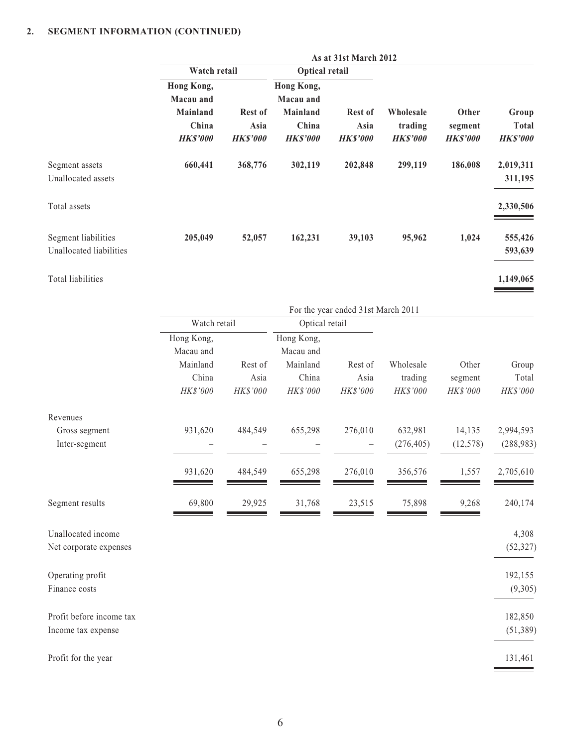|                                                | As at 31st March 2012                       |                                           |                                      |                                           |                                         |                                     |                                          |
|------------------------------------------------|---------------------------------------------|-------------------------------------------|--------------------------------------|-------------------------------------------|-----------------------------------------|-------------------------------------|------------------------------------------|
|                                                | Watch retail                                |                                           | Optical retail                       |                                           |                                         |                                     |                                          |
|                                                | Hong Kong,<br>Macau and                     |                                           | Hong Kong,<br>Macau and              |                                           |                                         |                                     |                                          |
|                                                | <b>Mainland</b><br>China<br><b>HK\$'000</b> | <b>Rest of</b><br>Asia<br><b>HK\$'000</b> | Mainland<br>China<br><b>HK\$'000</b> | <b>Rest of</b><br>Asia<br><b>HK\$'000</b> | Wholesale<br>trading<br><b>HK\$'000</b> | Other<br>segment<br><b>HK\$'000</b> | Group<br><b>Total</b><br><b>HK\$'000</b> |
| Segment assets<br>Unallocated assets           | 660,441                                     | 368,776                                   | 302,119                              | 202,848                                   | 299,119                                 | 186,008                             | 2,019,311<br>311,195                     |
| Total assets                                   |                                             |                                           |                                      |                                           |                                         |                                     | 2,330,506                                |
| Segment liabilities<br>Unallocated liabilities | 205,049                                     | 52,057                                    | 162,231                              | 39,103                                    | 95,962                                  | 1,024                               | 555,426<br>593,639                       |
| Total liabilities                              |                                             |                                           |                                      |                                           |                                         |                                     | 1,149,065                                |
|                                                |                                             |                                           |                                      |                                           |                                         |                                     |                                          |

|                          |              | For the year ended 31st March 2011 |                |          |            |           |            |
|--------------------------|--------------|------------------------------------|----------------|----------|------------|-----------|------------|
|                          | Watch retail |                                    | Optical retail |          |            |           |            |
|                          | Hong Kong,   |                                    | Hong Kong,     |          |            |           |            |
|                          | Macau and    |                                    | Macau and      |          |            |           |            |
|                          | Mainland     | Rest of                            | Mainland       | Rest of  | Wholesale  | Other     | Group      |
|                          | China        | Asia                               | China          | Asia     | trading    | segment   | Total      |
|                          | HK\$'000     | HK\$'000                           | HK\$'000       | HK\$'000 | HK\$'000   | HK\$'000  | HK\$'000   |
| Revenues                 |              |                                    |                |          |            |           |            |
| Gross segment            | 931,620      | 484,549                            | 655,298        | 276,010  | 632,981    | 14,135    | 2,994,593  |
| Inter-segment            |              |                                    |                |          | (276, 405) | (12, 578) | (288, 983) |
|                          | 931,620      | 484,549                            | 655,298        | 276,010  | 356,576    | 1,557     | 2,705,610  |
| Segment results          | 69,800       | 29,925                             | 31,768         | 23,515   | 75,898     | 9,268     | 240,174    |
| Unallocated income       |              |                                    |                |          |            |           | 4,308      |
| Net corporate expenses   |              |                                    |                |          |            |           | (52, 327)  |
| Operating profit         |              |                                    |                |          |            |           | 192,155    |
| Finance costs            |              |                                    |                |          |            |           | (9,305)    |
| Profit before income tax |              |                                    |                |          |            |           | 182,850    |
| Income tax expense       |              |                                    |                |          |            |           | (51, 389)  |
| Profit for the year      |              |                                    |                |          |            |           | 131,461    |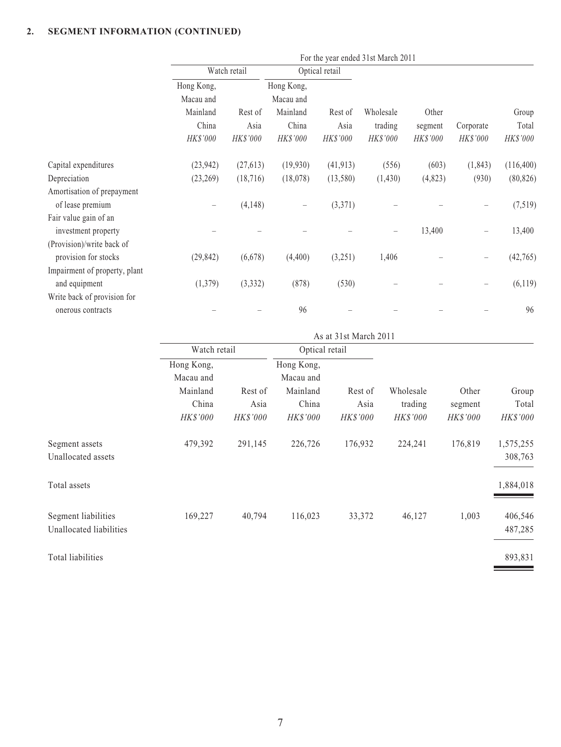|                                              | For the year ended 31st March 2011 |              |                   |                |                 |                 |           |            |
|----------------------------------------------|------------------------------------|--------------|-------------------|----------------|-----------------|-----------------|-----------|------------|
|                                              |                                    | Watch retail |                   | Optical retail |                 |                 |           |            |
|                                              | Hong Kong,                         |              | Hong Kong,        |                |                 |                 |           |            |
|                                              | Macau and                          |              | Macau and         |                |                 |                 |           |            |
|                                              | Mainland                           | Rest of      | Mainland          | Rest of        | Wholesale       | Other           |           | Group      |
|                                              | China                              | Asia         | China             | Asia           | trading         | segment         | Corporate | Total      |
|                                              | HK\$'000                           | HK\$'000     | <b>HK\$'000</b>   | HK\$'000       | <b>HK\$'000</b> | <b>HK\$'000</b> | HK\$'000  | HK\$'000   |
| Capital expenditures                         | (23, 942)                          | (27, 613)    | (19,930)          | (41, 913)      | (556)           | (603)           | (1, 843)  | (116, 400) |
| Depreciation                                 | (23,269)                           | (18, 716)    | (18,078)          | (13,580)       | (1, 430)        | (4,823)         | (930)     | (80, 826)  |
| Amortisation of prepayment                   |                                    |              |                   |                |                 |                 |           |            |
| of lease premium                             |                                    | (4,148)      | $\qquad \qquad -$ | (3,371)        |                 |                 |           | (7,519)    |
| Fair value gain of an<br>investment property |                                    |              |                   |                |                 | 13,400          |           | 13,400     |
| (Provision)/write back of                    |                                    |              |                   |                |                 |                 |           |            |
| provision for stocks                         | (29, 842)                          | (6,678)      | (4,400)           | (3,251)        | 1,406           |                 |           | (42, 765)  |
| Impairment of property, plant                |                                    |              |                   |                |                 |                 |           |            |
| and equipment                                | (1,379)                            | (3, 332)     | (878)             | (530)          |                 |                 |           | (6, 119)   |
| Write back of provision for                  |                                    |              |                   |                |                 |                 |           |            |
| onerous contracts                            |                                    |              | 96                |                |                 |                 |           | 96         |

|                         | As at 31st March 2011   |          |                         |                 |                 |                 |                 |  |
|-------------------------|-------------------------|----------|-------------------------|-----------------|-----------------|-----------------|-----------------|--|
|                         | Watch retail            |          | Optical retail          |                 |                 |                 |                 |  |
|                         | Hong Kong,<br>Macau and |          | Hong Kong,<br>Macau and |                 |                 |                 |                 |  |
|                         | Mainland                | Rest of  | Mainland                | Rest of         | Wholesale       | Other           | Group           |  |
|                         | China                   | Asia     | China                   | Asia            | trading         | segment         | Total           |  |
|                         | <b>HK\$'000</b>         | HK\$'000 | <b>HK\$'000</b>         | <b>HK\$'000</b> | <b>HK\$'000</b> | <b>HK\$'000</b> | <b>HK\$'000</b> |  |
| Segment assets          | 479,392                 | 291,145  | 226,726                 | 176,932         | 224,241         | 176,819         | 1,575,255       |  |
| Unallocated assets      |                         |          |                         |                 |                 |                 | 308,763         |  |
| Total assets            |                         |          |                         |                 |                 |                 | 1,884,018       |  |
| Segment liabilities     | 169,227                 | 40,794   | 116,023                 | 33,372          | 46,127          | 1,003           | 406,546         |  |
| Unallocated liabilities |                         |          |                         |                 |                 |                 | 487,285         |  |
| Total liabilities       |                         |          |                         |                 |                 |                 | 893,831         |  |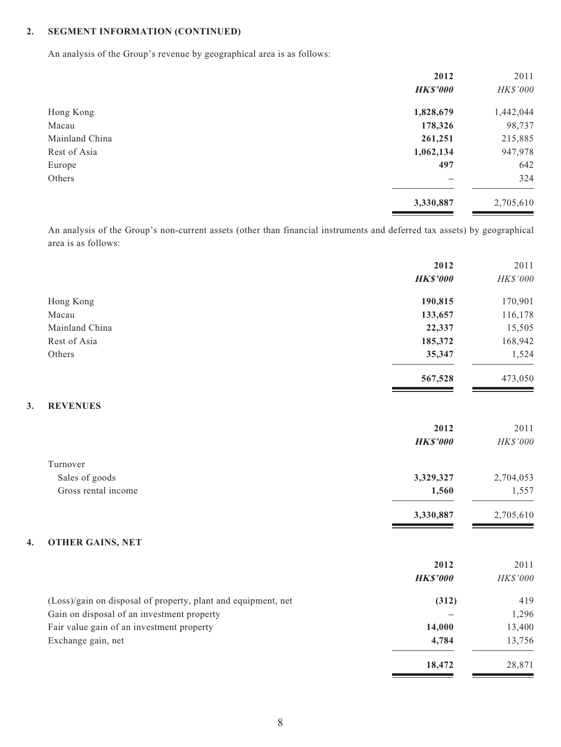**3. REVENUES**

An analysis of the Group's revenue by geographical area is as follows:

|                | 2012            | 2011      |
|----------------|-----------------|-----------|
|                | <b>HK\$'000</b> | HK\$'000  |
| Hong Kong      | 1,828,679       | 1,442,044 |
| Macau          | 178,326         | 98,737    |
| Mainland China | 261,251         | 215,885   |
| Rest of Asia   | 1,062,134       | 947,978   |
| Europe         | 497             | 642       |
| Others         |                 | 324       |
|                | 3,330,887       | 2,705,610 |
|                |                 |           |

An analysis of the Group's non-current assets (other than financial instruments and deferred tax assets) by geographical area is as follows:

|                                                               | 2012            | 2011      |
|---------------------------------------------------------------|-----------------|-----------|
|                                                               | <b>HK\$'000</b> | HK\$'000  |
| Hong Kong                                                     | 190,815         | 170,901   |
| Macau                                                         | 133,657         | 116,178   |
| Mainland China                                                | 22,337          | 15,505    |
| Rest of Asia                                                  | 185,372         | 168,942   |
| Others                                                        | 35,347          | 1,524     |
|                                                               | 567,528         | 473,050   |
| <b>REVENUES</b><br>3.                                         |                 |           |
|                                                               | 2012            | 2011      |
|                                                               | <b>HK\$'000</b> | HK\$'000  |
| Turnover                                                      |                 |           |
| Sales of goods                                                | 3,329,327       | 2,704,053 |
| Gross rental income                                           | 1,560           | 1,557     |
|                                                               | 3,330,887       | 2,705,610 |
| <b>OTHER GAINS, NET</b><br>4.                                 |                 |           |
|                                                               | 2012            | 2011      |
|                                                               | <b>HK\$'000</b> | HK\$'000  |
| (Loss)/gain on disposal of property, plant and equipment, net | (312)           | 419       |
| Gain on disposal of an investment property                    |                 | 1,296     |
| Fair value gain of an investment property                     | 14,000          | 13,400    |
| Exchange gain, net                                            | 4,784           | 13,756    |
|                                                               | 18,472          | 28,871    |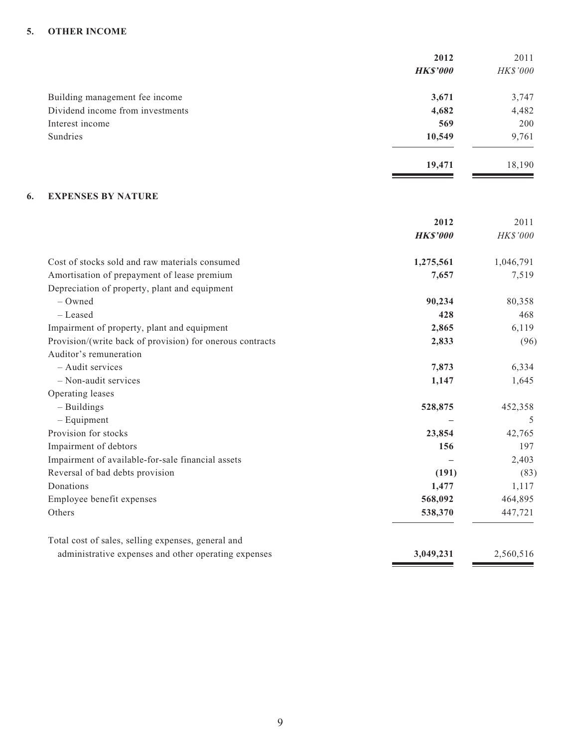#### **5. OTHER INCOME**

|                                  | 2012            | 2011     |
|----------------------------------|-----------------|----------|
|                                  | <b>HK\$'000</b> | HK\$'000 |
| Building management fee income   | 3,671           | 3,747    |
| Dividend income from investments | 4,682           | 4,482    |
| Interest income                  | 569             | 200      |
| Sundries                         | 10,549          | 9,761    |
|                                  | 19,471          | 18,190   |

 $\overline{\phantom{a}}$ 

#### **6. EXPENSES BY NATURE**

|                                                           | 2012            | 2011      |
|-----------------------------------------------------------|-----------------|-----------|
|                                                           | <b>HK\$'000</b> | HK\$'000  |
| Cost of stocks sold and raw materials consumed            | 1,275,561       | 1,046,791 |
| Amortisation of prepayment of lease premium               | 7,657           | 7,519     |
| Depreciation of property, plant and equipment             |                 |           |
| $-$ Owned                                                 | 90,234          | 80,358    |
| - Leased                                                  | 428             | 468       |
| Impairment of property, plant and equipment               | 2,865           | 6,119     |
| Provision/(write back of provision) for onerous contracts | 2,833           | (96)      |
| Auditor's remuneration                                    |                 |           |
| - Audit services                                          | 7,873           | 6,334     |
| - Non-audit services                                      | 1,147           | 1,645     |
| Operating leases                                          |                 |           |
| $-$ Buildings                                             | 528,875         | 452,358   |
| $-$ Equipment                                             |                 | 5         |
| Provision for stocks                                      | 23,854          | 42,765    |
| Impairment of debtors                                     | 156             | 197       |
| Impairment of available-for-sale financial assets         |                 | 2,403     |
| Reversal of bad debts provision                           | (191)           | (83)      |
| Donations                                                 | 1,477           | 1,117     |
| Employee benefit expenses                                 | 568,092         | 464,895   |
| Others                                                    | 538,370         | 447,721   |
| Total cost of sales, selling expenses, general and        |                 |           |
| administrative expenses and other operating expenses      | 3,049,231       | 2,560,516 |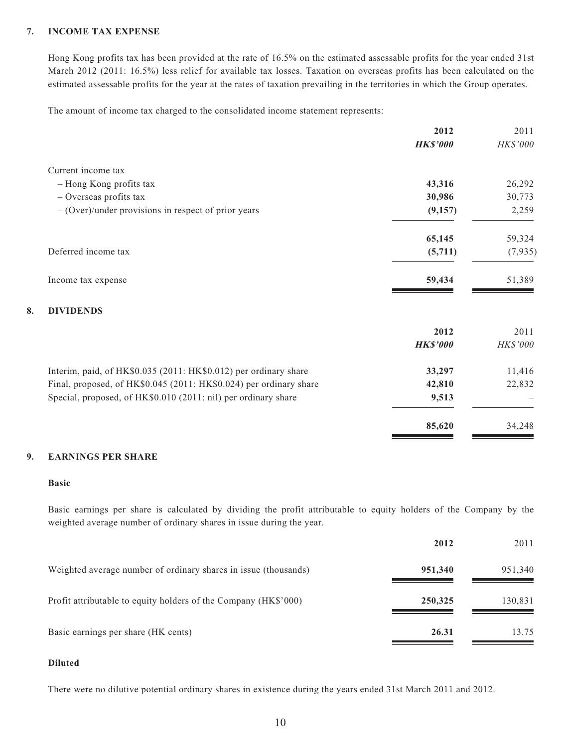#### **7. INCOME TAX EXPENSE**

Hong Kong profits tax has been provided at the rate of 16.5% on the estimated assessable profits for the year ended 31st March 2012 (2011: 16.5%) less relief for available tax losses. Taxation on overseas profits has been calculated on the estimated assessable profits for the year at the rates of taxation prevailing in the territories in which the Group operates.

The amount of income tax charged to the consolidated income statement represents:

|                                                                    | 2011           |
|--------------------------------------------------------------------|----------------|
| <b>HK\$'000</b>                                                    | HK\$'000       |
|                                                                    |                |
| 43,316                                                             | 26,292         |
| 30,986                                                             | 30,773         |
| (9,157)                                                            | 2,259          |
|                                                                    | 59,324         |
| (5,711)                                                            | (7,935)        |
| 59,434                                                             | 51,389         |
|                                                                    |                |
| 2012                                                               | 2011           |
| <b>HK\$'000</b>                                                    | HK\$'000       |
| 33,297                                                             | 11,416         |
| 42,810                                                             | 22,832         |
| 9,513                                                              |                |
| 85,620                                                             | 34,248         |
| Final, proposed, of HK\$0.045 (2011: HK\$0.024) per ordinary share | 2012<br>65,145 |

#### **9. EARNINGS PER SHARE**

#### **Basic**

Basic earnings per share is calculated by dividing the profit attributable to equity holders of the Company by the weighted average number of ordinary shares in issue during the year.

|                                                                 | 2012    | 2011    |
|-----------------------------------------------------------------|---------|---------|
| Weighted average number of ordinary shares in issue (thousands) | 951,340 | 951,340 |
| Profit attributable to equity holders of the Company (HK\$'000) | 250,325 | 130,831 |
| Basic earnings per share (HK cents)                             | 26.31   | 13.75   |

#### **Diluted**

There were no dilutive potential ordinary shares in existence during the years ended 31st March 2011 and 2012.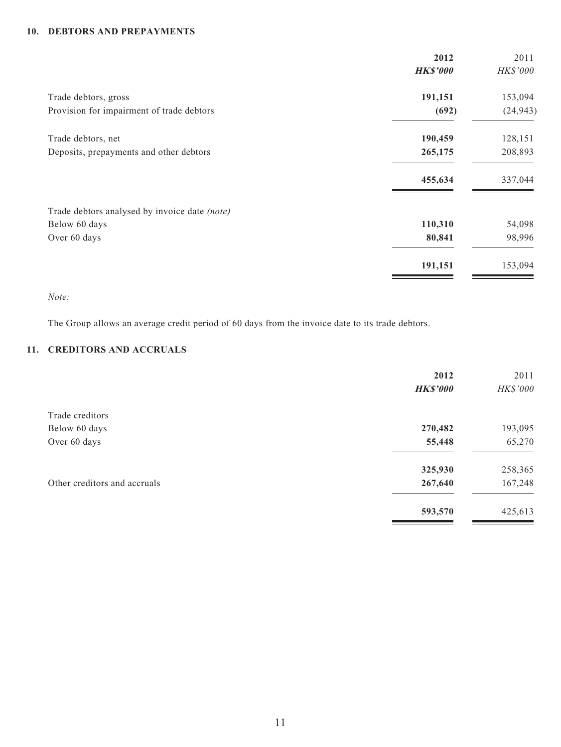#### **10. DEBTORS AND PREPAYMENTS**

|                                               | 2012            | 2011      |
|-----------------------------------------------|-----------------|-----------|
|                                               | <b>HK\$'000</b> | HK\$'000  |
| Trade debtors, gross                          | 191,151         | 153,094   |
| Provision for impairment of trade debtors     | (692)           | (24, 943) |
| Trade debtors, net                            | 190,459         | 128,151   |
| Deposits, prepayments and other debtors       | 265,175         | 208,893   |
|                                               | 455,634         | 337,044   |
| Trade debtors analysed by invoice date (note) |                 |           |
| Below 60 days                                 | 110,310         | 54,098    |
| Over 60 days                                  | 80,841          | 98,996    |
|                                               | 191,151         | 153,094   |

*Note:*

The Group allows an average credit period of 60 days from the invoice date to its trade debtors.

#### **11. CREDITORS AND ACCRUALS**

|                              | 2012            | 2011     |
|------------------------------|-----------------|----------|
|                              | <b>HK\$'000</b> | HK\$'000 |
| Trade creditors              |                 |          |
| Below 60 days                | 270,482         | 193,095  |
| Over 60 days                 | 55,448          | 65,270   |
|                              | 325,930         | 258,365  |
| Other creditors and accruals | 267,640         | 167,248  |
|                              | 593,570         | 425,613  |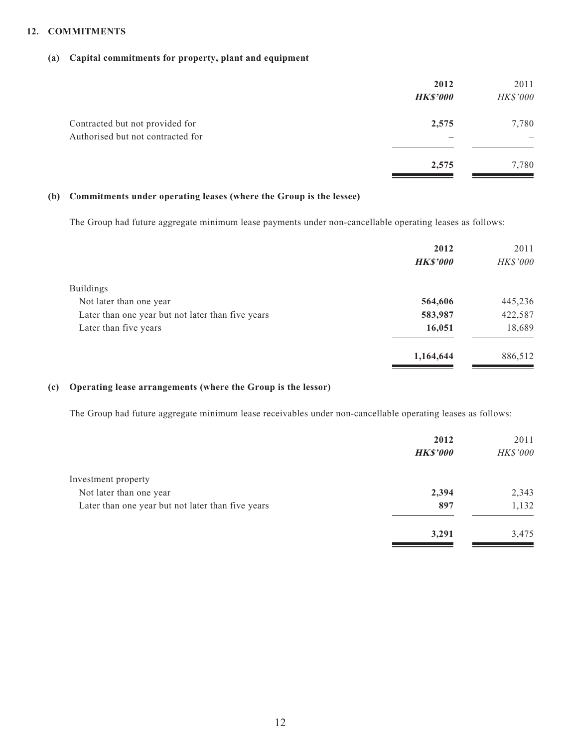#### **12. COMMITMENTS**

#### **(a) Capital commitments for property, plant and equipment**

|                                                                      | 2012<br><b>HK\$'000</b> | 2011<br>HK\$'000 |
|----------------------------------------------------------------------|-------------------------|------------------|
| Contracted but not provided for<br>Authorised but not contracted for | 2,575                   | 7,780<br>–       |
|                                                                      | 2,575                   | 7,780            |

#### **(b) Commitments under operating leases (where the Group is the lessee)**

The Group had future aggregate minimum lease payments under non-cancellable operating leases as follows:

|                                                   | 2012            | 2011            |
|---------------------------------------------------|-----------------|-----------------|
|                                                   | <b>HK\$'000</b> | <b>HK\$'000</b> |
| <b>Buildings</b>                                  |                 |                 |
| Not later than one year                           | 564,606         | 445,236         |
| Later than one year but not later than five years | 583,987         | 422,587         |
| Later than five years                             | 16,051          | 18,689          |
|                                                   | 1,164,644       | 886,512         |

#### **(c) Operating lease arrangements (where the Group is the lessor)**

The Group had future aggregate minimum lease receivables under non-cancellable operating leases as follows:

|                                                   | 2012            | 2011     |
|---------------------------------------------------|-----------------|----------|
|                                                   | <b>HK\$'000</b> | HK\$'000 |
| Investment property                               |                 |          |
| Not later than one year                           | 2,394           | 2,343    |
| Later than one year but not later than five years | 897             | 1,132    |
|                                                   | 3,291           | 3,475    |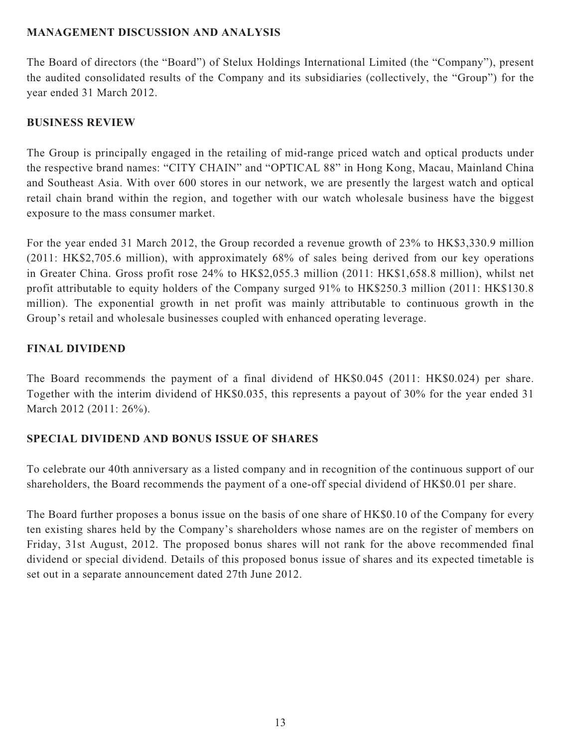# **MANAGEMENT DISCUSSION AND ANALYSIS**

The Board of directors (the "Board") of Stelux Holdings International Limited (the "Company"), present the audited consolidated results of the Company and its subsidiaries (collectively, the "Group") for the year ended 31 March 2012.

# **BUSINESS REVIEW**

The Group is principally engaged in the retailing of mid-range priced watch and optical products under the respective brand names: "CITY CHAIN" and "OPTICAL 88" in Hong Kong, Macau, Mainland China and Southeast Asia. With over 600 stores in our network, we are presently the largest watch and optical retail chain brand within the region, and together with our watch wholesale business have the biggest exposure to the mass consumer market.

For the year ended 31 March 2012, the Group recorded a revenue growth of 23% to HK\$3,330.9 million (2011: HK\$2,705.6 million), with approximately 68% of sales being derived from our key operations in Greater China. Gross profit rose 24% to HK\$2,055.3 million (2011: HK\$1,658.8 million), whilst net profit attributable to equity holders of the Company surged 91% to HK\$250.3 million (2011: HK\$130.8 million). The exponential growth in net profit was mainly attributable to continuous growth in the Group's retail and wholesale businesses coupled with enhanced operating leverage.

# **FINAL DIVIDEND**

The Board recommends the payment of a final dividend of HK\$0.045 (2011: HK\$0.024) per share. Together with the interim dividend of HK\$0.035, this represents a payout of 30% for the year ended 31 March 2012 (2011: 26%).

# **SPECIAL DIVIDEND AND BONUS ISSUE OF SHARES**

To celebrate our 40th anniversary as a listed company and in recognition of the continuous support of our shareholders, the Board recommends the payment of a one-off special dividend of HK\$0.01 per share.

The Board further proposes a bonus issue on the basis of one share of HK\$0.10 of the Company for every ten existing shares held by the Company's shareholders whose names are on the register of members on Friday, 31st August, 2012. The proposed bonus shares will not rank for the above recommended final dividend or special dividend. Details of this proposed bonus issue of shares and its expected timetable is set out in a separate announcement dated 27th June 2012.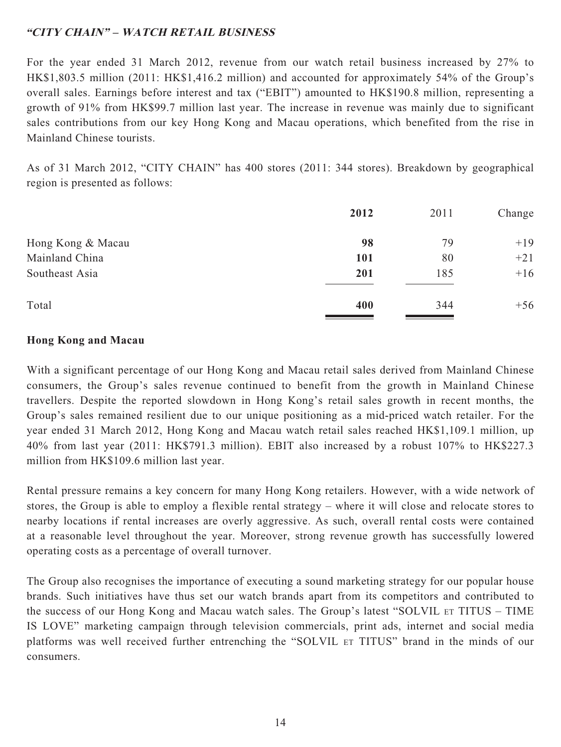# **"CITY CHAIN" – WATCH RETAIL BUSINESS**

For the year ended 31 March 2012, revenue from our watch retail business increased by 27% to HK\$1,803.5 million (2011: HK\$1,416.2 million) and accounted for approximately 54% of the Group's overall sales. Earnings before interest and tax ("EBIT") amounted to HK\$190.8 million, representing a growth of 91% from HK\$99.7 million last year. The increase in revenue was mainly due to significant sales contributions from our key Hong Kong and Macau operations, which benefited from the rise in Mainland Chinese tourists.

As of 31 March 2012, "CITY CHAIN" has 400 stores (2011: 344 stores). Breakdown by geographical region is presented as follows:

|                   | 2012 | 2011 | Change |
|-------------------|------|------|--------|
| Hong Kong & Macau | 98   | 79   | $+19$  |
| Mainland China    | 101  | 80   | $+21$  |
| Southeast Asia    | 201  | 185  | $+16$  |
| Total             | 400  | 344  | $+56$  |

# **Hong Kong and Macau**

With a significant percentage of our Hong Kong and Macau retail sales derived from Mainland Chinese consumers, the Group's sales revenue continued to benefit from the growth in Mainland Chinese travellers. Despite the reported slowdown in Hong Kong's retail sales growth in recent months, the Group's sales remained resilient due to our unique positioning as a mid-priced watch retailer. For the year ended 31 March 2012, Hong Kong and Macau watch retail sales reached HK\$1,109.1 million, up 40% from last year (2011: HK\$791.3 million). EBIT also increased by a robust 107% to HK\$227.3 million from HK\$109.6 million last year.

Rental pressure remains a key concern for many Hong Kong retailers. However, with a wide network of stores, the Group is able to employ a flexible rental strategy – where it will close and relocate stores to nearby locations if rental increases are overly aggressive. As such, overall rental costs were contained at a reasonable level throughout the year. Moreover, strong revenue growth has successfully lowered operating costs as a percentage of overall turnover.

The Group also recognises the importance of executing a sound marketing strategy for our popular house brands. Such initiatives have thus set our watch brands apart from its competitors and contributed to the success of our Hong Kong and Macau watch sales. The Group's latest "SOLVIL ET TITUS – TIME IS LOVE" marketing campaign through television commercials, print ads, internet and social media platforms was well received further entrenching the "SOLVIL ET TITUS" brand in the minds of our consumers.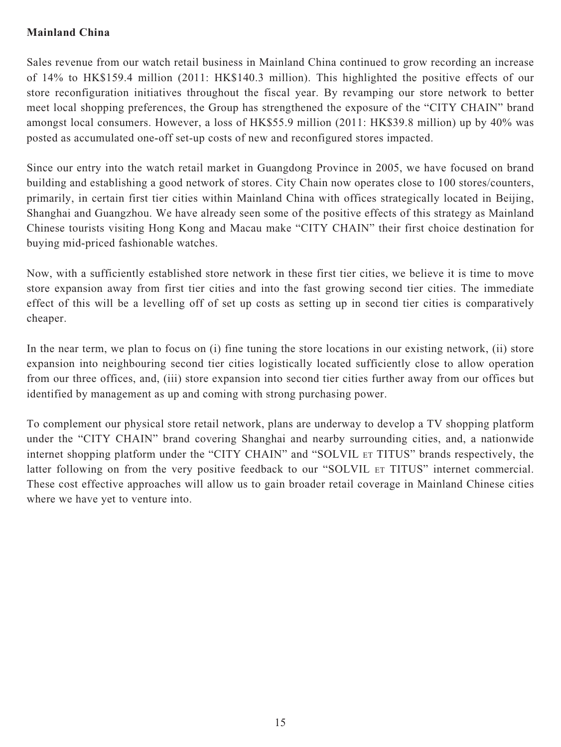# **Mainland China**

Sales revenue from our watch retail business in Mainland China continued to grow recording an increase of 14% to HK\$159.4 million (2011: HK\$140.3 million). This highlighted the positive effects of our store reconfiguration initiatives throughout the fiscal year. By revamping our store network to better meet local shopping preferences, the Group has strengthened the exposure of the "CITY CHAIN" brand amongst local consumers. However, a loss of HK\$55.9 million (2011: HK\$39.8 million) up by 40% was posted as accumulated one-off set-up costs of new and reconfigured stores impacted.

Since our entry into the watch retail market in Guangdong Province in 2005, we have focused on brand building and establishing a good network of stores. City Chain now operates close to 100 stores/counters, primarily, in certain first tier cities within Mainland China with offices strategically located in Beijing, Shanghai and Guangzhou. We have already seen some of the positive effects of this strategy as Mainland Chinese tourists visiting Hong Kong and Macau make "CITY CHAIN" their first choice destination for buying mid-priced fashionable watches.

Now, with a sufficiently established store network in these first tier cities, we believe it is time to move store expansion away from first tier cities and into the fast growing second tier cities. The immediate effect of this will be a levelling off of set up costs as setting up in second tier cities is comparatively cheaper.

In the near term, we plan to focus on (i) fine tuning the store locations in our existing network, (ii) store expansion into neighbouring second tier cities logistically located sufficiently close to allow operation from our three offices, and, (iii) store expansion into second tier cities further away from our offices but identified by management as up and coming with strong purchasing power.

To complement our physical store retail network, plans are underway to develop a TV shopping platform under the "CITY CHAIN" brand covering Shanghai and nearby surrounding cities, and, a nationwide internet shopping platform under the "CITY CHAIN" and "SOLVIL ET TITUS" brands respectively, the latter following on from the very positive feedback to our "SOLVIL ET TITUS" internet commercial. These cost effective approaches will allow us to gain broader retail coverage in Mainland Chinese cities where we have yet to venture into.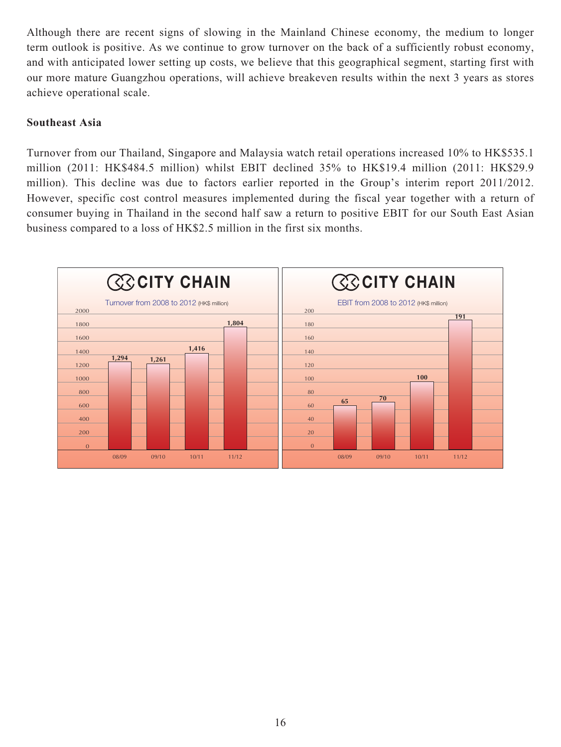Although there are recent signs of slowing in the Mainland Chinese economy, the medium to longer term outlook is positive. As we continue to grow turnover on the back of a sufficiently robust economy, and with anticipated lower setting up costs, we believe that this geographical segment, starting first with our more mature Guangzhou operations, will achieve breakeven results within the next 3 years as stores achieve operational scale.

## **Southeast Asia**

Turnover from our Thailand, Singapore and Malaysia watch retail operations increased 10% to HK\$535.1 million (2011: HK\$484.5 million) whilst EBIT declined 35% to HK\$19.4 million (2011: HK\$29.9 million). This decline was due to factors earlier reported in the Group's interim report 2011/2012. However, specific cost control measures implemented during the fiscal year together with a return of consumer buying in Thailand in the second half saw a return to positive EBIT for our South East Asian business compared to a loss of HK\$2.5 million in the first six months.

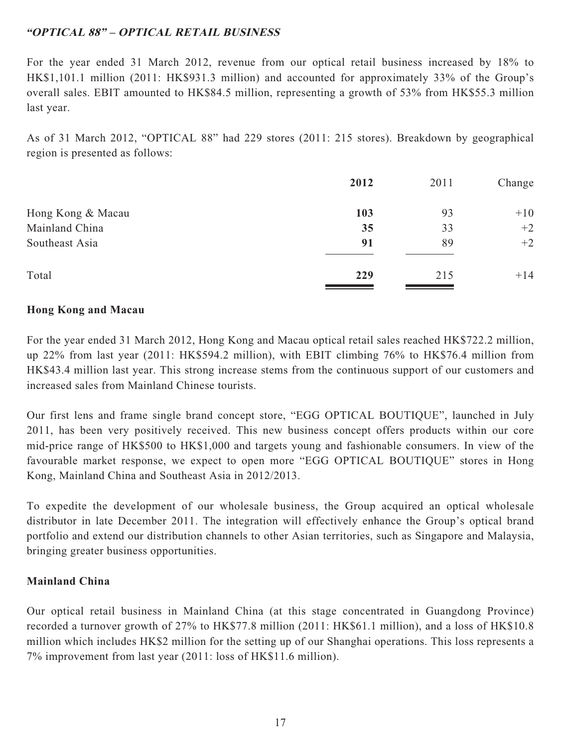# **"OPTICAL 88" – OPTICAL RETAIL BUSINESS**

For the year ended 31 March 2012, revenue from our optical retail business increased by 18% to HK\$1,101.1 million (2011: HK\$931.3 million) and accounted for approximately 33% of the Group's overall sales. EBIT amounted to HK\$84.5 million, representing a growth of 53% from HK\$55.3 million last year.

As of 31 March 2012, "OPTICAL 88" had 229 stores (2011: 215 stores). Breakdown by geographical region is presented as follows:

|                   | 2012 | 2011 | Change |
|-------------------|------|------|--------|
| Hong Kong & Macau | 103  | 93   | $+10$  |
| Mainland China    | 35   | 33   | $+2$   |
| Southeast Asia    | 91   | 89   | $+2$   |
| Total             | 229  | 215  | $+14$  |

# **Hong Kong and Macau**

For the year ended 31 March 2012, Hong Kong and Macau optical retail sales reached HK\$722.2 million, up 22% from last year (2011: HK\$594.2 million), with EBIT climbing 76% to HK\$76.4 million from HK\$43.4 million last year. This strong increase stems from the continuous support of our customers and increased sales from Mainland Chinese tourists.

Our first lens and frame single brand concept store, "EGG OPTICAL BOUTIQUE", launched in July 2011, has been very positively received. This new business concept offers products within our core mid-price range of HK\$500 to HK\$1,000 and targets young and fashionable consumers. In view of the favourable market response, we expect to open more "EGG OPTICAL BOUTIQUE" stores in Hong Kong, Mainland China and Southeast Asia in 2012/2013.

To expedite the development of our wholesale business, the Group acquired an optical wholesale distributor in late December 2011. The integration will effectively enhance the Group's optical brand portfolio and extend our distribution channels to other Asian territories, such as Singapore and Malaysia, bringing greater business opportunities.

# **Mainland China**

Our optical retail business in Mainland China (at this stage concentrated in Guangdong Province) recorded a turnover growth of 27% to HK\$77.8 million (2011: HK\$61.1 million), and a loss of HK\$10.8 million which includes HK\$2 million for the setting up of our Shanghai operations. This loss represents a 7% improvement from last year (2011: loss of HK\$11.6 million).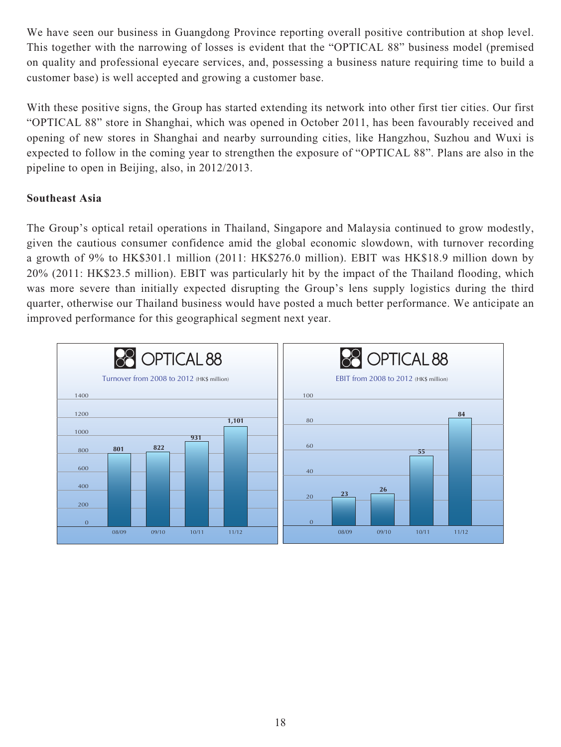We have seen our business in Guangdong Province reporting overall positive contribution at shop level. This together with the narrowing of losses is evident that the "OPTICAL 88" business model (premised on quality and professional eyecare services, and, possessing a business nature requiring time to build a customer base) is well accepted and growing a customer base.

With these positive signs, the Group has started extending its network into other first tier cities. Our first "OPTICAL 88" store in Shanghai, which was opened in October 2011, has been favourably received and opening of new stores in Shanghai and nearby surrounding cities, like Hangzhou, Suzhou and Wuxi is expected to follow in the coming year to strengthen the exposure of "OPTICAL 88". Plans are also in the pipeline to open in Beijing, also, in 2012/2013.

# **Southeast Asia**

The Group's optical retail operations in Thailand, Singapore and Malaysia continued to grow modestly, given the cautious consumer confidence amid the global economic slowdown, with turnover recording a growth of 9% to HK\$301.1 million (2011: HK\$276.0 million). EBIT was HK\$18.9 million down by 20% (2011: HK\$23.5 million). EBIT was particularly hit by the impact of the Thailand flooding, which was more severe than initially expected disrupting the Group's lens supply logistics during the third quarter, otherwise our Thailand business would have posted a much better performance. We anticipate an improved performance for this geographical segment next year.

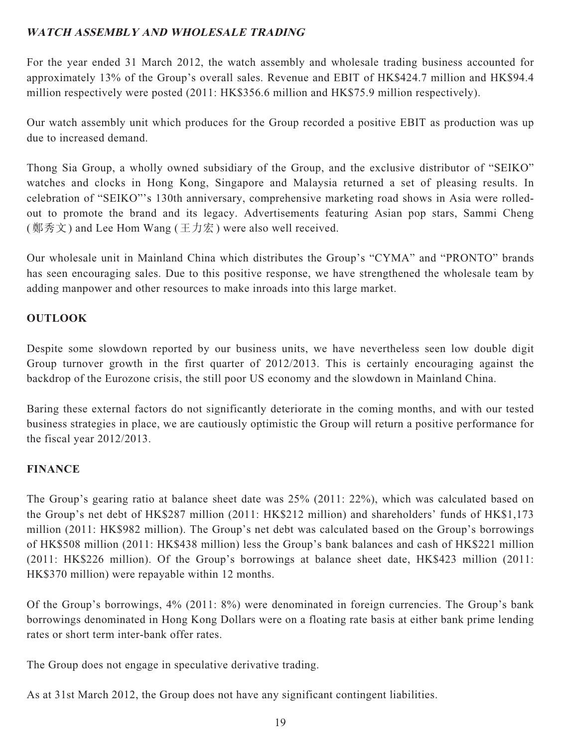# **WATCH ASSEMBLY AND WHOLESALE TRADING**

For the year ended 31 March 2012, the watch assembly and wholesale trading business accounted for approximately 13% of the Group's overall sales. Revenue and EBIT of HK\$424.7 million and HK\$94.4 million respectively were posted (2011: HK\$356.6 million and HK\$75.9 million respectively).

Our watch assembly unit which produces for the Group recorded a positive EBIT as production was up due to increased demand.

Thong Sia Group, a wholly owned subsidiary of the Group, and the exclusive distributor of "SEIKO" watches and clocks in Hong Kong, Singapore and Malaysia returned a set of pleasing results. In celebration of "SEIKO"'s 130th anniversary, comprehensive marketing road shows in Asia were rolledout to promote the brand and its legacy. Advertisements featuring Asian pop stars, Sammi Cheng (鄭秀文) and Lee Hom Wang (王力宏) were also well received.

Our wholesale unit in Mainland China which distributes the Group's "CYMA" and "PRONTO" brands has seen encouraging sales. Due to this positive response, we have strengthened the wholesale team by adding manpower and other resources to make inroads into this large market.

# **OUTLOOK**

Despite some slowdown reported by our business units, we have nevertheless seen low double digit Group turnover growth in the first quarter of 2012/2013. This is certainly encouraging against the backdrop of the Eurozone crisis, the still poor US economy and the slowdown in Mainland China.

Baring these external factors do not significantly deteriorate in the coming months, and with our tested business strategies in place, we are cautiously optimistic the Group will return a positive performance for the fiscal year 2012/2013.

## **FINANCE**

The Group's gearing ratio at balance sheet date was 25% (2011: 22%), which was calculated based on the Group's net debt of HK\$287 million (2011: HK\$212 million) and shareholders' funds of HK\$1,173 million (2011: HK\$982 million). The Group's net debt was calculated based on the Group's borrowings of HK\$508 million (2011: HK\$438 million) less the Group's bank balances and cash of HK\$221 million (2011: HK\$226 million). Of the Group's borrowings at balance sheet date, HK\$423 million (2011: HK\$370 million) were repayable within 12 months.

Of the Group's borrowings, 4% (2011: 8%) were denominated in foreign currencies. The Group's bank borrowings denominated in Hong Kong Dollars were on a floating rate basis at either bank prime lending rates or short term inter-bank offer rates.

The Group does not engage in speculative derivative trading.

As at 31st March 2012, the Group does not have any significant contingent liabilities.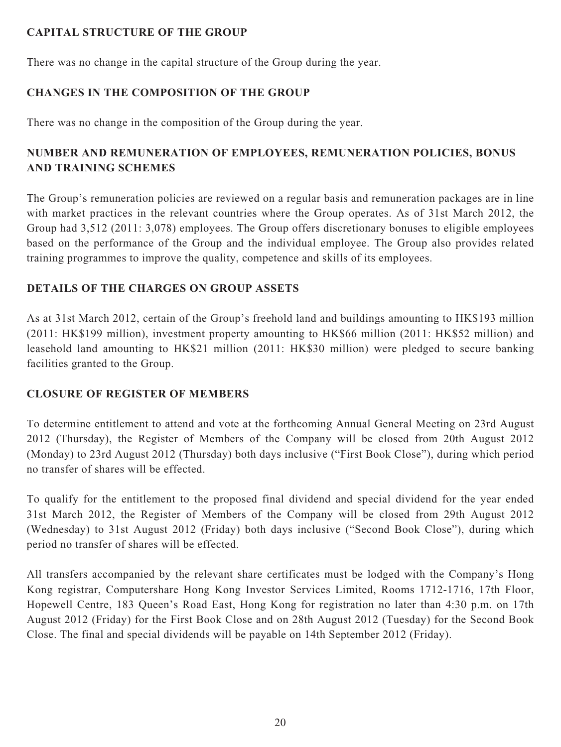# **CAPITAL STRUCTURE OF THE GROUP**

There was no change in the capital structure of the Group during the year.

# **CHANGES IN THE COMPOSITION OF THE GROUP**

There was no change in the composition of the Group during the year.

# **NUMBER AND REMUNERATION OF EMPLOYEES, REMUNERATION POLICIES, BONUS AND TRAINING SCHEMES**

The Group's remuneration policies are reviewed on a regular basis and remuneration packages are in line with market practices in the relevant countries where the Group operates. As of 31st March 2012, the Group had 3,512 (2011: 3,078) employees. The Group offers discretionary bonuses to eligible employees based on the performance of the Group and the individual employee. The Group also provides related training programmes to improve the quality, competence and skills of its employees.

# **DETAILS OF THE CHARGES ON GROUP ASSETS**

As at 31st March 2012, certain of the Group's freehold land and buildings amounting to HK\$193 million (2011: HK\$199 million), investment property amounting to HK\$66 million (2011: HK\$52 million) and leasehold land amounting to HK\$21 million (2011: HK\$30 million) were pledged to secure banking facilities granted to the Group.

# **CLOSURE OF REGISTER OF MEMBERS**

To determine entitlement to attend and vote at the forthcoming Annual General Meeting on 23rd August 2012 (Thursday), the Register of Members of the Company will be closed from 20th August 2012 (Monday) to 23rd August 2012 (Thursday) both days inclusive ("First Book Close"), during which period no transfer of shares will be effected.

To qualify for the entitlement to the proposed final dividend and special dividend for the year ended 31st March 2012, the Register of Members of the Company will be closed from 29th August 2012 (Wednesday) to 31st August 2012 (Friday) both days inclusive ("Second Book Close"), during which period no transfer of shares will be effected.

All transfers accompanied by the relevant share certificates must be lodged with the Company's Hong Kong registrar, Computershare Hong Kong Investor Services Limited, Rooms 1712-1716, 17th Floor, Hopewell Centre, 183 Queen's Road East, Hong Kong for registration no later than 4:30 p.m. on 17th August 2012 (Friday) for the First Book Close and on 28th August 2012 (Tuesday) for the Second Book Close. The final and special dividends will be payable on 14th September 2012 (Friday).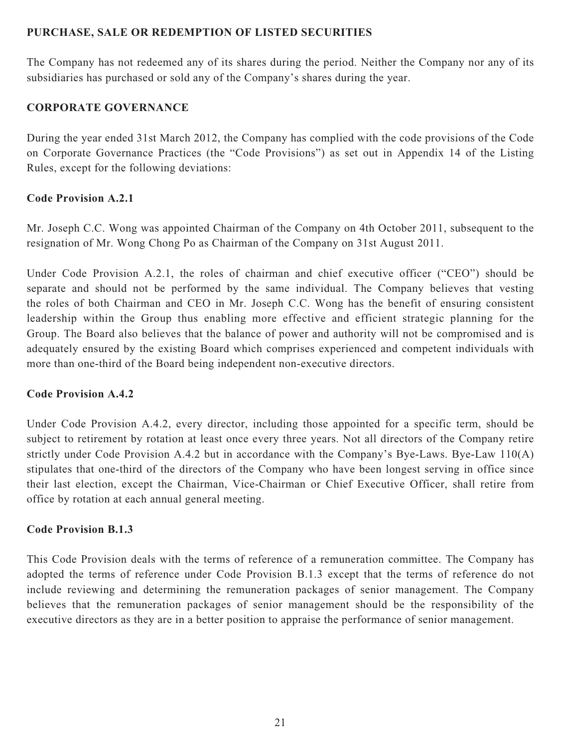## **PURCHASE, SALE OR REDEMPTION OF LISTED SECURITIES**

The Company has not redeemed any of its shares during the period. Neither the Company nor any of its subsidiaries has purchased or sold any of the Company's shares during the year.

# **CORPORATE GOVERNANCE**

During the year ended 31st March 2012, the Company has complied with the code provisions of the Code on Corporate Governance Practices (the "Code Provisions") as set out in Appendix 14 of the Listing Rules, except for the following deviations:

# **Code Provision A.2.1**

Mr. Joseph C.C. Wong was appointed Chairman of the Company on 4th October 2011, subsequent to the resignation of Mr. Wong Chong Po as Chairman of the Company on 31st August 2011.

Under Code Provision A.2.1, the roles of chairman and chief executive officer ("CEO") should be separate and should not be performed by the same individual. The Company believes that vesting the roles of both Chairman and CEO in Mr. Joseph C.C. Wong has the benefit of ensuring consistent leadership within the Group thus enabling more effective and efficient strategic planning for the Group. The Board also believes that the balance of power and authority will not be compromised and is adequately ensured by the existing Board which comprises experienced and competent individuals with more than one-third of the Board being independent non-executive directors.

## **Code Provision A.4.2**

Under Code Provision A.4.2, every director, including those appointed for a specific term, should be subject to retirement by rotation at least once every three years. Not all directors of the Company retire strictly under Code Provision A.4.2 but in accordance with the Company's Bye-Laws. Bye-Law 110(A) stipulates that one-third of the directors of the Company who have been longest serving in office since their last election, except the Chairman, Vice-Chairman or Chief Executive Officer, shall retire from office by rotation at each annual general meeting.

## **Code Provision B.1.3**

This Code Provision deals with the terms of reference of a remuneration committee. The Company has adopted the terms of reference under Code Provision B.1.3 except that the terms of reference do not include reviewing and determining the remuneration packages of senior management. The Company believes that the remuneration packages of senior management should be the responsibility of the executive directors as they are in a better position to appraise the performance of senior management.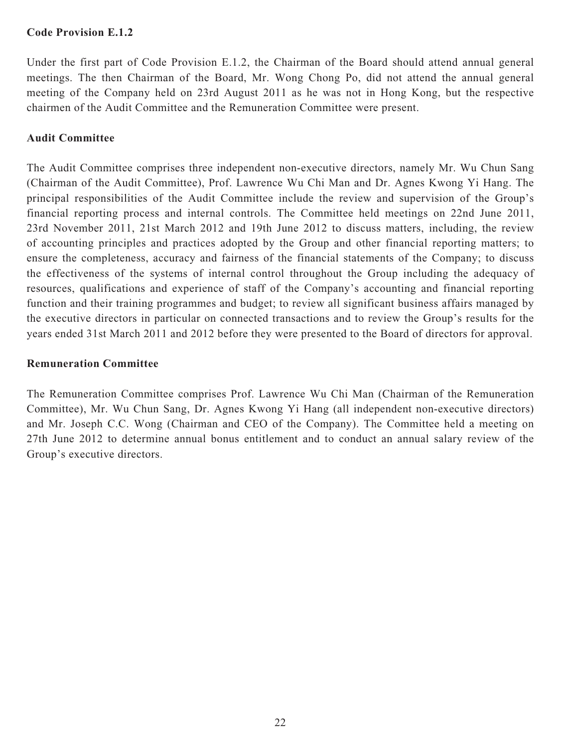## **Code Provision E.1.2**

Under the first part of Code Provision E.1.2, the Chairman of the Board should attend annual general meetings. The then Chairman of the Board, Mr. Wong Chong Po, did not attend the annual general meeting of the Company held on 23rd August 2011 as he was not in Hong Kong, but the respective chairmen of the Audit Committee and the Remuneration Committee were present.

## **Audit Committee**

The Audit Committee comprises three independent non-executive directors, namely Mr. Wu Chun Sang (Chairman of the Audit Committee), Prof. Lawrence Wu Chi Man and Dr. Agnes Kwong Yi Hang. The principal responsibilities of the Audit Committee include the review and supervision of the Group's financial reporting process and internal controls. The Committee held meetings on 22nd June 2011, 23rd November 2011, 21st March 2012 and 19th June 2012 to discuss matters, including, the review of accounting principles and practices adopted by the Group and other financial reporting matters; to ensure the completeness, accuracy and fairness of the financial statements of the Company; to discuss the effectiveness of the systems of internal control throughout the Group including the adequacy of resources, qualifications and experience of staff of the Company's accounting and financial reporting function and their training programmes and budget; to review all significant business affairs managed by the executive directors in particular on connected transactions and to review the Group's results for the years ended 31st March 2011 and 2012 before they were presented to the Board of directors for approval.

## **Remuneration Committee**

The Remuneration Committee comprises Prof. Lawrence Wu Chi Man (Chairman of the Remuneration Committee), Mr. Wu Chun Sang, Dr. Agnes Kwong Yi Hang (all independent non-executive directors) and Mr. Joseph C.C. Wong (Chairman and CEO of the Company). The Committee held a meeting on 27th June 2012 to determine annual bonus entitlement and to conduct an annual salary review of the Group's executive directors.